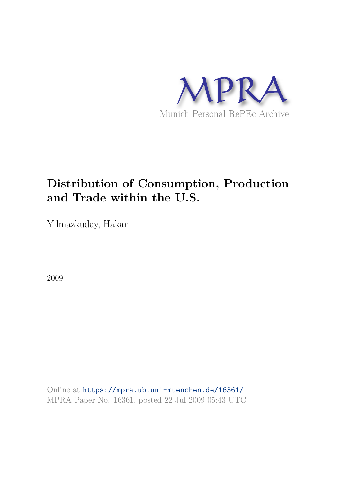

# **Distribution of Consumption, Production and Trade within the U.S.**

Yilmazkuday, Hakan

2009

Online at https://mpra.ub.uni-muenchen.de/16361/ MPRA Paper No. 16361, posted 22 Jul 2009 05:43 UTC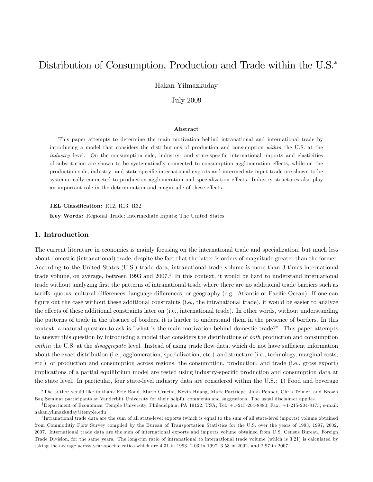# Distribution of Consumption, Production and Trade within the U.S.<sup>\*</sup>

Hakan Yilmazkuday<sup>†</sup>

July 2009

#### Abstract

This paper attempts to determine the main motivation behind intranational and international trade by introducing a model that considers the distributions of production and consumption within the U.S. at the industry level. On the consumption side, industry- and state-specific international imports and elasticities of substitution are shown to be systematically connected to consumption agglomeration effects, while on the production side, industry- and state-speciÖc international exports and intermediate input trade are shown to be systematically connected to production agglomeration and specialization effects. Industry structures also play an important role in the determination and magnitude of these effects.

#### JEL Classification: R12, R13, R32

Key Words: Regional Trade; Intermediate Inputs; The United States

# 1. Introduction

The current literature in economics is mainly focusing on the international trade and specialization, but much less about domestic (intranational) trade, despite the fact that the latter is orders of magnitude greater than the former. According to the United States (U.S.) trade data, intranational trade volume is more than 3 times international trade volume, on average, between 1993 and 2007.<sup>1</sup> In this context, it would be hard to understand international trade without analyzing first the patterns of intranational trade where there are no additional trade barriers such as tariffs, quotas, cultural differences, language differences, or geography (e.g., Atlantic or Pacific Ocean). If one can figure out the case without these additional constraints (i.e., the intranational trade), it would be easier to analyze the effects of these additional constraints later on (i.e., international trade). In other words, without understanding the patterns of trade in the absence of borders, it is harder to understand them in the presence of borders. In this context, a natural question to ask is "what is the main motivation behind domestic trade?". This paper attempts to answer this question by introducing a model that considers the distributions of both production and consumption within the U.S. at the *disaggregate* level. Instead of using trade flow data, which do not have sufficient information about the exact distribution (i.e., agglomeration, specialization, etc.) and structure (i.e., technology, marginal costs, etc.) of production and consumption across regions, the consumption, production, and trade (i.e., gross export) implications of a partial equilibrium model are tested using industry-specific production and consumption data at the state level. In particular, four state-level industry data are considered within the U.S.: 1) Food and beverage

The author would like to thank Eric Bond, Mario Crucini, Kevin Huang, Mark Partridge, John Pepper, Chris Telmer, and Brown Bag Seminar participants at Vanderbilt University for their helpful comments and suggestions. The usual disclaimer applies.

<sup>&</sup>lt;sup>†</sup>Department of Economics, Temple University, Philadelphia, PA 19122, USA; Tel: +1-215-204-8880; Fax: +1-215-204-8173; e-mail: hakan.yilmazkuday@temple.edu

<sup>&</sup>lt;sup>1</sup>Intranational trade data are the sum of all state-level exports (which is equal to the sum of all state-level imports) volume obtained from Commoditiy Flow Survey compiled by the Bureau of Transportation Statistics for the U.S. over the years of 1993, 1997, 2002, 2007. International trade data are the sum of international exports and imports volume obtained from U.S. Census Bureau, Foreign Trade Division, for the same years. The long-run ratio of intranational to international trade volume (which is 3.21) is calculated by taking the average across year-specific ratios which are 4.31 in 1993, 2.03 in 1997, 3.53 in 2002, and 2.97 in 2007.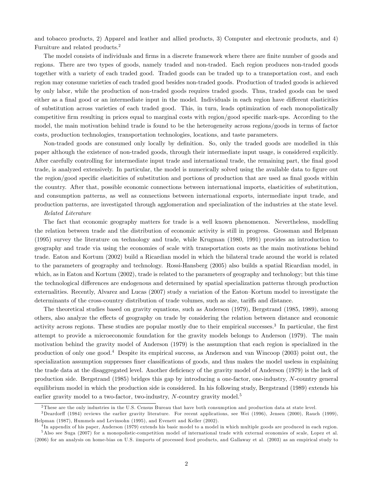and tobacco products, 2) Apparel and leather and allied products, 3) Computer and electronic products, and 4) Furniture and related products.<sup>2</sup>

The model consists of individuals and firms in a discrete framework where there are finite number of goods and regions. There are two types of goods, namely traded and non-traded. Each region produces non-traded goods together with a variety of each traded good. Traded goods can be traded up to a transportation cost, and each region may consume varieties of each traded good besides non-traded goods. Production of traded goods is achieved by only labor, while the production of non-traded goods requires traded goods. Thus, traded goods can be used either as a final good or an intermediate input in the model. Individuals in each region have different elasticities of substitution across varieties of each traded good. This, in turn, leads optimization of each monopolistically competitive firm resulting in prices equal to marginal costs with region/good specific mark-ups. According to the model, the main motivation behind trade is found to be the heterogeneity across regions/goods in terms of factor costs, production technologies, transportation technologies, locations, and taste parameters.

Non-traded goods are consumed only locally by definition. So, only the traded goods are modelled in this paper although the existence of non-traded goods, through their intermediate input usage, is considered explicitly. After carefully controlling for intermediate input trade and international trade, the remaining part, the final good trade, is analyzed extensively. In particular, the model is numerically solved using the available data to figure out the region/good specific elasticities of substitution and portions of production that are used as final goods within the country. After that, possible economic connections between international imports, elasticities of substitution, and consumption patterns, as well as connections between international exports, intermediate input trade, and production patterns, are investigated through agglomeration and specialization of the industries at the state level.

#### Related Literature

The fact that economic geography matters for trade is a well known phenomenon. Nevertheless, modelling the relation between trade and the distribution of economic activity is still in progress. Grossman and Helpman (1995) survey the literature on technology and trade, while Krugman (1980, 1991) provides an introduction to geography and trade via using the economies of scale with transportation costs as the main motivations behind trade. Eaton and Kortum (2002) build a Ricardian model in which the bilateral trade around the world is related to the parameters of geography and technology. Rossi-Hansberg (2005) also builds a spatial Ricardian model, in which, as in Eaton and Kortum (2002), trade is related to the parameters of geography and technology; but this time the technological differences are endogenous and determined by spatial specialization patterns through production externalities. Recently, Alvarez and Lucas (2007) study a variation of the Eaton–Kortum model to investigate the determinants of the cross-country distribution of trade volumes, such as size, tariffs and distance.

The theoretical studies based on gravity equations, such as Anderson (1979), Bergstrand (1985, 1989), among others, also analyze the effects of geography on trade by considering the relation between distance and economic activity across regions. These studies are popular mostly due to their empirical successes.<sup>3</sup> In particular, the first attempt to provide a microeconomic foundation for the gravity models belongs to Anderson (1979). The main motivation behind the gravity model of Anderson (1979) is the assumption that each region is specialized in the production of only one good.<sup>4</sup> Despite its empirical success, as Anderson and van Wincoop (2003) point out, the specialization assumption suppresses finer classifications of goods, and thus makes the model useless in explaining the trade data at the disaggregated level. Another deficiency of the gravity model of Anderson (1979) is the lack of production side. Bergstrand (1985) bridges this gap by introducing a one-factor, one-industry, N-country general equilibrium model in which the production side is considered. In his following study, Bergstrand (1989) extends his earlier gravity model to a two-factor, two-industry,  $N$ -country gravity model.<sup>5</sup>

<sup>2</sup> These are the only industries in the U.S. Census Bureau that have both consumption and production data at state level.

<sup>&</sup>lt;sup>3</sup>Deardorff (1984) reviews the earlier gravity literature. For recent applications, see Wei (1996), Jensen (2000), Rauch (1999), Helpman (1987), Hummels and Levinsohn (1995), and Evenett and Keller (2002).

<sup>&</sup>lt;sup>4</sup>In appendix of his paper, Anderson (1979) extends his basic model to a model in which multiple goods are produced in each region. <sup>5</sup>Also see Suga (2007) for a monopolistic-competition model of international trade with external economies of scale, Lopez et al. (2006) for an analysis on home-bias on U.S. iimports of processed food products, and Gallaway et al. (2003) as an empirical study to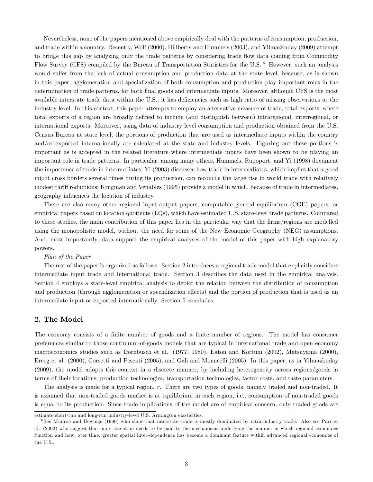Nevertheless, none of the papers mentioned above empirically deal with the patterns of consumption, production, and trade within a country. Recently, Wolf (2000), Hillberry and Hummels (2003), and Yilmazkuday (2009) attempt to bridge this gap by analyzing only the trade patterns by considering trade flow data coming from Commodity Flow Survey (CFS) compiled by the Bureau of Transportation Statistics for the U.S..<sup>6</sup> However, such an analysis would suffer from the lack of actual consumption and production data at the state level, because, as is shown in this paper, agglomeration and specialization of both consumption and production play important roles in the determination of trade patterns, for both final goods and intermediate inputs. Moreover, although CFS is the most available interstate trade data within the U.S., it has deficiencies such as high ratio of missing observations at the industry level. In this context, this paper attempts to employ an alternative measure of trade, total exports, where total exports of a region are broadly defined to include (and distinguish between) intraregional, interregional, or international exports. Moreover, using data of industry level consumption and production obtained from the U.S. Census Bureau at state level, the portions of production that are used as intermediate inputs within the country and/or exported internationally are calculated at the state and industry levels. Figuring out these portions is important as is accepted in the related literature where intermediate inputs have been shown to be playing an important role in trade patterns. In particular, among many others, Hummels, Rapoport, and Yi (1998) document the importance of trade in intermediates; Yi (2003) discusses how trade in intermediates, which implies that a good might cross borders several times during its production, can reconcile the large rise in world trade with relatively modest tariff reductions; Krugman and Venables (1995) provide a model in which, because of trade in intermediates, geography ináuences the location of industry.

There are also many other regional input-output papers, computable general equilibrium (CGE) papers, or empirical papers based on location quotients (LQs), which have estimated U.S. state-level trade patterns. Compared to these studies, the main contribution of this paper lies in the particular way that the firms/regions are modelled using the monopolistic model, without the need for some of the New Economic Geography (NEG) assumptions. And, most importantly, data support the empirical analyses of the model of this paper with high explanatory powers.

### Plan of the Paper

The rest of the paper is organized as follows. Section 2 introduces a regional trade model that explicitly considers intermediate input trade and international trade. Section 3 describes the data used in the empirical analysis. Section 4 employs a state-level empirical analysis to depict the relation between the distribution of consumption and production (through agglomeration or specialization effects) and the portion of production that is used as an intermediate input or exported internationally. Section 5 concludes.

## 2. The Model

The economy consists of a finite number of goods and a finite number of regions. The model has consumer preferences similar to those continuum-of-goods models that are typical in international trade and open economy macroeconomics studies such as Dornbusch et al. (1977, 1980), Eaton and Kortum (2002), Matsuyama (2000), Erceg et al. (2000), Corsetti and Pesenti (2005), and Gali and Monacelli (2005). In this paper, as in Yilmazkuday (2009), the model adopts this context in a discrete manner, by including heterogeneity across regions/goods in terms of their locations, production technologies, transportation technologies, factor costs, and taste parameters.

The analysis is made for a typical region, r. There are two types of goods, namely traded and non-traded. It is assumed that non-traded goods market is at equilibrium in each region, i.e., consumption of non-traded goods is equal to its production. Since trade implications of the model are of empirical concern, only traded goods are

estimate short-run and long-run industry-level U.S. Armington elasticities.

<sup>6</sup> See Munroe and Hewings (1999) who show that interstate trade is mostly dominated by intra-industry trade. Also see Parr et al. (2002) who suggest that more attention needs to be paid to the mechanisms underlying the manner in which regional economies function and how, over time, greater spatial inter-dependence has become a dominant feature within advanced regional economies of the U.S..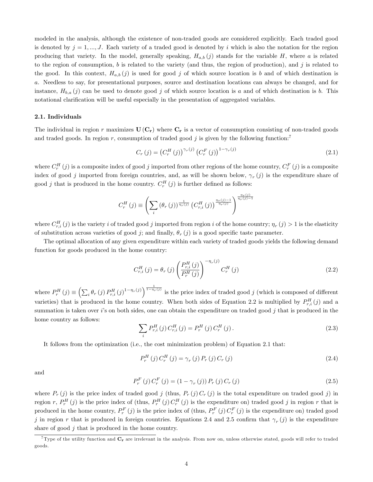modeled in the analysis, although the existence of non-traded goods are considered explicitly. Each traded good is denoted by  $j = 1, ..., J$ . Each variety of a traded good is denoted by i which is also the notation for the region producing that variety. In the model, generally speaking,  $H_{a,b}(j)$  stands for the variable H, where a is related to the region of consumption, b is related to the variety (and thus, the region of production), and j is related to the good. In this context,  $H_{a,b}(j)$  is used for good j of which source location is b and of which destination is a. Needless to say, for presentational purposes, source and destination locations can always be changed, and for instance,  $H_{b,a}(j)$  can be used to denote good j of which source location is a and of which destination is b. This notational clarification will be useful especially in the presentation of aggregated variables.

#### 2.1. Individuals

The individual in region r maximizes  $U(C_r)$  where  $C_r$  is a vector of consumption consisting of non-traded goods and traded goods. In region r, consumption of traded good j is given by the following function:<sup>7</sup>

$$
C_{r}(j) = (C_{r}^{H}(j))^{\gamma_{r}(j)} (C_{r}^{F}(j))^{1-\gamma_{r}(j)}
$$
\n(2.1)

where  $C_r^H(j)$  is a composite index of good j imported from other regions of the home country,  $C_r^F(j)$  is a composite index of good j imported from foreign countries, and, as will be shown below,  $\gamma_r(j)$  is the expenditure share of good j that is produced in the home country.  $C_r^H(j)$  is further defined as follows:

$$
C_r^H(j) \equiv \left(\sum_i \left(\theta_r(j)\right)^{\frac{1}{\eta_r(j)}} \left(C_{r,i}^H(j)\right)^{\frac{\eta_r(j)-1}{\eta_r(j)}}\right)^{\frac{\eta_r(j)}{\eta_r(j)-1}}
$$

where  $C_{r,i}^H(j)$  is the variety i of traded good j imported from region i of the home country;  $\eta_r(j) > 1$  is the elasticity of substitution across varieties of good j; and finally,  $\theta_r (i)$  is a good specific taste parameter.

The optimal allocation of any given expenditure within each variety of traded goods yields the following demand function for goods produced in the home country:

$$
C_{r,i}^{H}(j) = \theta_r(j) \left( \frac{P_{r,i}^{H}(j)}{P_r^{H}(j)} \right)^{-\eta_r(j)} C_r^{H}(j)
$$
\n(2.2)

where  $P_r^H(j) \equiv \left(\sum_i \theta_r(j) P_{r,i}^H(j)^{1-\eta_r(j)}\right)^{\frac{1}{1-\eta_r(j)}}$  is the price index of traded good j (which is composed of different varieties) that is produced in the home country. When both sides of Equation 2.2 is multiplied by  $P_{r,i}^H(j)$  and a summation is taken over i's on both sides, one can obtain the expenditure on traded good  $j$  that is produced in the home country as follows:

$$
\sum_{i} P_{r,i}^{H}(j) C_{r,i}^{H}(j) = P_{r}^{H}(j) C_{r}^{H}(j).
$$
\n(2.3)

It follows from the optimization (i.e., the cost minimization problem) of Equation 2.1 that:

$$
P_r^H(j) C_r^H(j) = \gamma_r(j) P_r(j) C_r(j)
$$
\n(2.4)

and

$$
P_r^F(j) C_r^F(j) = (1 - \gamma_r(j)) P_r(j) C_r(j)
$$
\n(2.5)

where  $P_r(j)$  is the price index of traded good j (thus,  $P_r(j) C_r(j)$  is the total expenditure on traded good j) in region r,  $P_r^H(j)$  is the price index of (thus,  $P_r^H(j) C_r^H(j)$  is the expenditure on) traded good j in region r that is produced in the home country,  $P_r^F(j)$  is the price index of (thus,  $P_r^F(j) C_r^F(j)$  is the expenditure on) traded good j in region r that is produced in foreign countries. Equations 2.4 and 2.5 confirm that  $\gamma_r(j)$  is the expenditure share of good  $j$  that is produced in the home country.

 $7$ Type of the utility function and  $C_r$  are irrelevant in the analysis. From now on, unless otherwise stated, goods will refer to traded goods.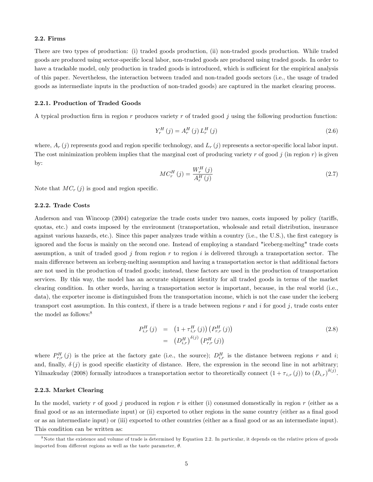#### 2.2. Firms

There are two types of production: (i) traded goods production, (ii) non-traded goods production. While traded goods are produced using sector-specific local labor, non-traded goods are produced using traded goods. In order to have a trackable model, only production in traded goods is introduced, which is sufficient for the empirical analysis of this paper. Nevertheless, the interaction between traded and non-traded goods sectors (i.e., the usage of traded goods as intermediate inputs in the production of non-traded goods) are captured in the market clearing process.

#### 2.2.1. Production of Traded Goods

A typical production firm in region r produces variety r of traded good j using the following production function:

$$
Y_{r}^{H} (j) = A_{r}^{H} (j) L_{r}^{H} (j)
$$
\n(2.6)

where,  $A_r(j)$  represents good and region specific technology, and  $L_r(j)$  represents a sector-specific local labor input. The cost minimization problem implies that the marginal cost of producing variety r of good j (in region r) is given by:

$$
MC_r^H(j) = \frac{W_r^H(j)}{A_r^H(j)}
$$
\n(2.7)

Note that  $MC_r(j)$  is good and region specific.

#### 2.2.2. Trade Costs

Anderson and van Wincoop (2004) categorize the trade costs under two names, costs imposed by policy (tariffs, quotas, etc.) and costs imposed by the environment (transportation, wholesale and retail distribution, insurance against various hazards, etc.). Since this paper analyzes trade within a country (i.e., the U.S.), the first category is ignored and the focus is mainly on the second one. Instead of employing a standard "iceberg-melting" trade costs assumption, a unit of traded good j from region r to region i is delivered through a transportation sector. The main difference between an iceberg-melting assumption and having a transportation sector is that additional factors are not used in the production of traded goods; instead, these factors are used in the production of transportation services. By this way, the model has an accurate shipment identity for all traded goods in terms of the market clearing condition. In other words, having a transportation sector is important, because, in the real world (i.e., data), the exporter income is distinguished from the transportation income, which is not the case under the iceberg transport cost assumption. In this context, if there is a trade between regions r and i for good j, trade costs enter the model as follows:<sup>8</sup>

$$
P_{i,r}^{H}(j) = (1 + \tau_{i,r}^{H}(j)) (P_{r,r}^{H}(j))
$$
  
=  $(D_{i,r}^{H})^{\delta(j)} (P_{r,r}^{H}(j))$  (2.8)

where  $P_{r,r}^H(j)$  is the price at the factory gate (i.e., the source);  $D_{i,r}^H$  is the distance between regions r and i; and, finally,  $\delta(j)$  is good specific elasticity of distance. Here, the expression in the second line in not arbitrary; Yilmazkuday (2008) formally introduces a transportation sector to theoretically connect  $(1 + \tau_{i,r}(j))$  to  $(D_{i,r})^{\delta(j)}$ .

#### 2.2.3. Market Clearing

In the model, variety r of good j produced in region r is either (i) consumed domestically in region r (either as a final good or as an intermediate input) or (ii) exported to other regions in the same country (either as a final good or as an intermediate input) or (iii) exported to other countries (either as a Önal good or as an intermediate input). This condition can be written as:

<sup>&</sup>lt;sup>8</sup>Note that the existence and volume of trade is determined by Equation 2.2. In particular, it depends on the relative prices of goods imported from different regions as well as the taste parameter,  $\theta$ .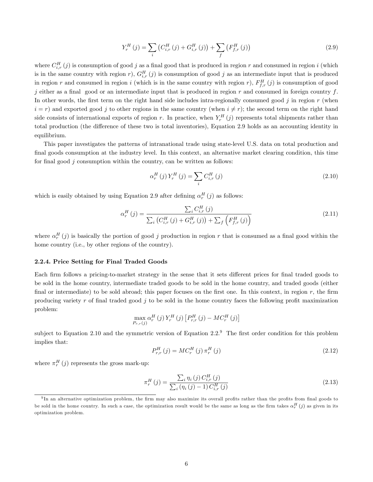$$
Y_{r}^{H}(j) = \sum_{i} \left( C_{i,r}^{H}(j) + G_{i,r}^{H}(j) \right) + \sum_{f} \left( F_{f,r}^{H}(j) \right)
$$
\n(2.9)

where  $C_{i,r}^H(j)$  is consumption of good j as a final good that is produced in region r and consumed in region i (which is in the same country with region r),  $G_{i,r}^H(j)$  is consumption of good j as an intermediate input that is produced in region r and consumed in region i (which is in the same country with region r),  $F_{f,r}^H(j)$  is consumption of good j either as a final good or an intermediate input that is produced in region r and consumed in foreign country  $f$ . In other words, the first term on the right hand side includes intra-regionally consumed good j in region  $r$  (when  $i = r$ ) and exported good j to other regions in the same country (when  $i \neq r$ ); the second term on the right hand side consists of international exports of region r. In practice, when  $Y_r^H(j)$  represents total shipments rather than total production (the difference of these two is total inventories), Equation 2.9 holds as an accounting identity in equilibrium.

This paper investigates the patterns of intranational trade using state-level U.S. data on total production and final goods consumption at the industry level. In this context, an alternative market clearing condition, this time for final good  $j$  consumption within the country, can be written as follows:

$$
\alpha_r^H(j) Y_r^H(j) = \sum_i C_{i,r}^H(j)
$$
\n(2.10)

which is easily obtained by using Equation 2.9 after defining  $\alpha_r^H(j)$  as follows:

$$
\alpha_r^H(j) = \frac{\sum_i C_{i,r}^H(j)}{\sum_i (C_{i,r}^H(j) + G_{i,r}^H(j)) + \sum_f (F_{f,r}^H(j))}
$$
\n(2.11)

where  $\alpha_r^H(j)$  is basically the portion of good j production in region r that is consumed as a final good within the home country (i.e., by other regions of the country).

#### 2.2.4. Price Setting for Final Traded Goods

Each firm follows a pricing-to-market strategy in the sense that it sets different prices for final traded goods to be sold in the home country, intermediate traded goods to be sold in the home country, and traded goods (either final or intermediate) to be sold abroad; this paper focuses on the first one. In this context, in region  $r$ , the firm producing variety r of final traded good  $j$  to be sold in the home country faces the following profit maximization problem:

$$
\max_{P_{r,r}\left(j\right)}\alpha_{r}^{H}\left(j\right)Y_{r}^{H}\left(j\right)\left[P_{r,r}^{H}\left(j\right)-MC_{r}^{H}\left(j\right)\right]
$$

subject to Equation 2.10 and the symmetric version of Equation 2.2. $9$  The first order condition for this problem implies that:

$$
P_{r,r}^{H}(j) = MC_{r}^{H}(j)\pi_{r}^{H}(j)
$$
\n(2.12)

where  $\pi_r^H(j)$  represents the gross mark-up:

$$
\pi_r^H(j) = \frac{\sum_i \eta_i(j) C_{i,r}^H(j)}{\sum_i (\eta_i(j) - 1) C_{i,r}^H(j)}
$$
\n(2.13)

<sup>&</sup>lt;sup>9</sup>In an alternative optimization problem, the firm may also maximize its overall profits rather than the profits from final goods to be sold in the home country. In such a case, the optimization result would be the same as long as the firm takes  $\alpha_r^H(j)$  as given in its optimization problem.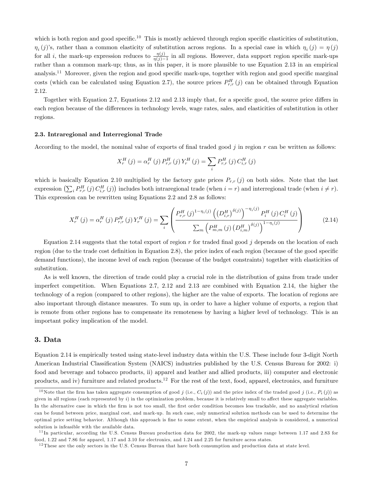which is both region and good specific.<sup>10</sup> This is mostly achieved through region specific elasticities of substitution,  $\eta_i(j)$ 's, rather than a common elasticity of substitution across regions. In a special case in which  $\eta_i(j) = \eta(j)$ for all *i*, the mark-up expression reduces to  $\frac{\eta(j)}{\eta(j)-1}$  in all regions. However, data support region specific mark-ups rather than a common mark-up; thus, as in this paper, it is more plausible to use Equation 2.13 in an empirical analysis. $11$  Moreover, given the region and good specific mark-ups, together with region and good specific marginal costs (which can be calculated using Equation 2.7), the source prices  $P_{r,r}^H(j)$  can be obtained through Equation 2.12.

Together with Equation 2.7, Equations 2.12 and 2.13 imply that, for a specific good, the source price differs in each region because of the differences in technology levels, wage rates, sales, and elasticities of substitution in other regions.

#### 2.3. Intraregional and Interregional Trade

According to the model, the nominal value of exports of final traded good  $j$  in region  $r$  can be written as follows:

$$
X_{r}^{H}(j) = \alpha_{r}^{H}(j) P_{r,r}^{H}(j) Y_{r}^{H}(j) = \sum_{i} P_{r,r}^{H}(j) C_{i,r}^{H}(j)
$$

which is basically Equation 2.10 multiplied by the factory gate prices  $P_{r,r}(j)$  on both sides. Note that the last expression  $\left(\sum_i P_{r,r}^H(j) C_{i,r}^H(j)\right)$  includes both intraregional trade (when  $i = r$ ) and interregional trade (when  $i \neq r$ ). This expression can be rewritten using Equations 2.2 and 2.8 as follows:

$$
X_{r}^{H}(j) = \alpha_{r}^{H}(j) P_{r,r}^{H}(j) Y_{r}^{H}(j) = \sum_{i} \left( \frac{P_{r,r}^{H}(j)^{1-\eta_{i}(j)} \left( \left( D_{i,r}^{H} \right)^{\delta(j)} \right)^{-\eta_{i}(j)}}{\sum_{m} \left( P_{m,m}^{H}(j) \left( D_{i,m}^{H} \right)^{\delta(j)} \right)^{1-\eta_{i}(j)}} \right)
$$
(2.14)

Equation 2.14 suggests that the total export of region r for traded final good j depends on the location of each region (due to the trade cost definition in Equation 2.8), the price index of each region (because of the good specific demand functions), the income level of each region (because of the budget constraints) together with elasticities of substitution.

As is well known, the direction of trade could play a crucial role in the distribution of gains from trade under imperfect competition. When Equations 2.7, 2.12 and 2.13 are combined with Equation 2.14, the higher the technology of a region (compared to other regions), the higher are the value of exports. The location of regions are also important through distance measures. To sum up, in order to have a higher volume of exports, a region that is remote from other regions has to compensate its remoteness by having a higher level of technology. This is an important policy implication of the model.

# 3. Data

Equation 2.14 is empirically tested using state-level industry data within the U.S. These include four 3-digit North American Industrial Classification System (NAICS) industries published by the U.S. Census Bureau for 2002: i) food and beverage and tobacco products, ii) apparel and leather and allied products, iii) computer and electronic products, and iv) furniture and related products.<sup>12</sup> For the rest of the text, food, apparel, electronics, and furniture

<sup>&</sup>lt;sup>10</sup>Note that the firm has taken aggregate consumption of good j (i.e.,  $C_i(j)$ ) and the price index of the traded good j (i.e.,  $P_i(j)$ ) as given in all regions (each represented by  $i$ ) in the optimization problem, because it is relatively small to affect these aggregate variables. In the alternative case in which the firm is not too small, the first order condition becomes less trackable, and no analytical relation can be found between price, marginal cost, and mark-up. In such case, only numerical solution methods can be used to determine the optimal price setting behavior. Although this approach is Öne to some extent, when the empirical analysis is considered, a numerical solution is infeasible with the available data.

 $11$ In particular, according the U.S. Census Bureau production data for 2002, the mark-up values range between 1.17 and 2.83 for food, 1.22 and 7.86 for apparel, 1.17 and 3.10 for electronics, and 1.24 and 2.25 for furniture acros states.

 $12$ These are the only sectors in the U.S. Census Bureau that have both consumption and production data at state level.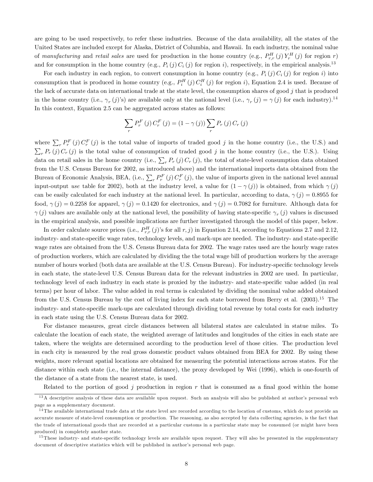are going to be used respectively, to refer these industries. Because of the data availability, all the states of the United States are included except for Alaska, District of Columbia, and Hawaii. In each industry, the nominal value of manufacturing and retail sales are used for production in the home country (e.g.,  $P_{r,r}^H(j) Y_r^H(j)$  for region r) and for consumption in the home country (e.g.,  $P_i(j) C_i(j)$  for region i), respectively, in the empirical analysis.<sup>13</sup>

For each industry in each region, to convert consumption in home country (e.g.,  $P_i(j) C_i(j)$  for region i) into consumption that is produced in home country (e.g.,  $P_i^H(j) C_i^H(j)$  for region i), Equation 2.4 is used. Because of the lack of accurate data on international trade at the state level, the consumption shares of good  $j$  that is produced in the home country (i.e.,  $\gamma_r(j)$ 's) are available only at the national level (i.e.,  $\gamma_r(j) = \gamma(j)$  for each industry).<sup>14</sup> In this context, Equation 2.5 can be aggregated across states as follows:

$$
\sum_{r} P_{r}^{F}(j) C_{r}^{F}(j) = (1 - \gamma(j)) \sum_{r} P_{r}(j) C_{r}(j)
$$

where  $\sum_{r} P_{r}^{F}(j) C_{r}^{F}(j)$  is the total value of imports of traded good j in the home country (i.e., the U.S.) and  $\sum_{r} P_r(j) C_r(j)$  is the total value of consumption of traded good j in the home country (i.e., the U.S.). Using data on retail sales in the home country (i.e.,  $\sum_{r} P_r(j) C_r(j)$ , the total of state-level consumption data obtained from the U.S. Census Bureau for 2002, as introduced above) and the international imports data obtained from the Bureau of Economic Analysis, BEA, (i.e.,  $\sum_r P_r^F(j) C_r^F(j)$ , the value of imports given in the national level annual input-output use table for 2002), both at the industry level, a value for  $(1 - \gamma(j))$  is obtained, from which  $\gamma(j)$ can be easily calculated for each industry at the national level. In particular, according to data,  $\gamma(j) = 0.8955$  for food,  $\gamma(j) = 0.2258$  for apparel,  $\gamma(j) = 0.1420$  for electronics, and  $\gamma(j) = 0.7082$  for furniture. Although data for  $\gamma(j)$  values are available only at the national level, the possibility of having state-specific  $\gamma_r(j)$  values is discussed in the empirical analysis, and possible implications are further investigated through the model of this paper, below.

In order calculate source prices (i.e.,  $P_{r,r}^H(j)$ 's for all  $r, j$ ) in Equation 2.14, according to Equations 2.7 and 2.12, industry- and state-specific wage rates, technology levels, and mark-ups are needed. The industry- and state-specific wage rates are obtained from the U.S. Census Bureau data for 2002. The wage rates used are the hourly wage rates of production workers, which are calculated by dividing the the total wage bill of production workers by the average number of hours worked (both data are available at the U.S. Census Bureau). For industry-specific technology levels in each state, the state-level U.S. Census Bureau data for the relevant industries in 2002 are used. In particular, technology level of each industry in each state is proxied by the industry- and state-specific value added (in real terms) per hour of labor. The value added in real terms is calculated by dividing the nominal value added obtained from the U.S. Census Bureau by the cost of living index for each state borrowed from Berry et al. (2003).<sup>15</sup> The industry- and state-specific mark-ups are calculated through dividing total revenue by total costs for each industry in each state using the U.S. Census Bureau data for 2002.

For distance measures, great circle distances between all bilateral states are calculated in statue miles. To calculate the location of each state, the weighted average of latitudes and longitudes of the cities in each state are taken, where the weights are determined according to the production level of those cities. The production level in each city is measured by the real gross domestic product values obtained from BEA for 2002. By using these weights, more relevant spatial locations are obtained for measuring the potential interactions across states. For the distance within each state (i.e., the internal distance), the proxy developed by Wei (1996), which is one-fourth of the distance of a state from the nearest state, is used.

Related to the portion of good j production in region r that is consumed as a final good within the home

 $13A$  descriptive analysis of these data are available upon request. Such an analysis will also be published at author's personal web page as a supplementary document.

<sup>&</sup>lt;sup>14</sup>The available international trade data at the state level are recorded according to the location of customs, which do not provide an accurate measure of state-level consumption or production. The reasoning, as also accepted by data collecting agencies, is the fact that the trade of international goods that are recorded at a particular customs in a particular state may be consumed (or might have been produced) in completely another state.

<sup>&</sup>lt;sup>15</sup> These industry- and state-specific technology levels are available upon request. They will also be presented in the supplementary document of descriptive statistics which will be published in author's personal web page.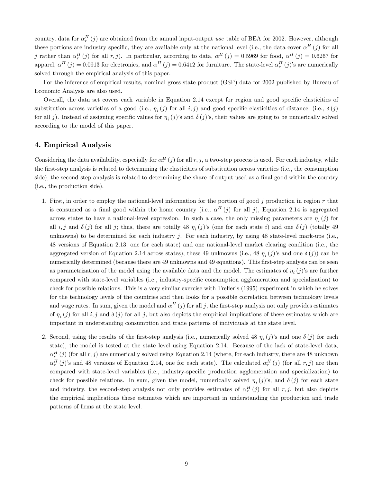country, data for  $\alpha_r^H(j)$  are obtained from the annual input-output use table of BEA for 2002. However, although these portions are industry specific, they are available only at the national level (i.e., the data cover  $\alpha^H(j)$  for all j rather than  $\alpha_r^H(j)$  for all r, j). In particular, according to data,  $\alpha^H(j) = 0.5969$  for food,  $\alpha^H(j) = 0.6267$  for apparel,  $\alpha^H(j) = 0.0913$  for electronics, and  $\alpha^H(j) = 0.6412$  for furniture. The state-level  $\alpha_r^H(j)$ 's are numerically solved through the empirical analysis of this paper.

For the inference of empirical results, nominal gross state product (GSP) data for 2002 published by Bureau of Economic Analysis are also used.

Overall, the data set covers each variable in Equation 2.14 except for region and good specific elasticities of substitution across varieties of a good (i.e.,  $\eta_i(j)$  for all  $i, j$ ) and good specific elasticities of distance, (i.e.,  $\delta(j)$ for all j). Instead of assigning specific values for  $\eta_i(j)$ 's and  $\delta(j)$ 's, their values are going to be numerically solved according to the model of this paper.

# 4. Empirical Analysis

Considering the data availability, especially for  $\alpha_r^H(j)$  for all  $r, j$ , a two-step process is used. For each industry, while the Örst-step analysis is related to determining the elasticities of substitution across varieties (i.e., the consumption side), the second-step analysis is related to determining the share of output used as a final good within the country (i.e., the production side).

- 1. First, in order to employ the national-level information for the portion of good  $j$  production in region  $r$  that is consumed as a final good within the home country (i.e.,  $\alpha^H(j)$  for all j), Equation 2.14 is aggregated across states to have a national-level expression. In such a case, the only missing parameters are  $\eta_i(j)$  for all  $i, j$  and  $\delta(j)$  for all j; thus, there are totally 48  $\eta_i(j)$ 's (one for each state i) and one  $\delta(j)$  (totally 49 unknowns) to be determined for each industry j. For each industry, by using 48 state-level mark-ups (i.e., 48 versions of Equation 2.13, one for each state) and one national-level market clearing condition (i.e., the aggregated version of Equation 2.14 across states), these 49 unknowns (i.e., 48  $\eta_i(j)$ 's and one  $\delta(j)$ ) can be numerically determined (because there are 49 unknowns and 49 equations). This first-step analysis can be seen as parametrization of the model using the available data and the model. The estimates of  $\eta_i(j)$ 's are further compared with state-level variables (i.e., industry-specific consumption agglomeration and specialization) to check for possible relations. This is a very similar exercise with Trefler's (1995) experiment in which he solves for the technology levels of the countries and then looks for a possible correlation between technology levels and wage rates. In sum, given the model and  $\alpha^H(j)$  for all j, the first-step analysis not only provides estimates of  $\eta_i(j)$  for all i, j and  $\delta(j)$  for all j, but also depicts the empirical implications of these estimates which are important in understanding consumption and trade patterns of individuals at the state level.
- 2. Second, using the results of the first-step analysis (i.e., numerically solved 48  $\eta_i(j)$ 's and one  $\delta(j)$  for each state), the model is tested at the state level using Equation 2.14. Because of the lack of state-level data,  $\alpha_r^H(j)$  (for all  $r, j$ ) are numerically solved using Equation 2.14 (where, for each industry, there are 48 unknown  $\alpha_r^H(j)$ 's and 48 versions of Equation 2.14, one for each state). The calculated  $\alpha_r^H(j)$  (for all r, j) are then compared with state-level variables (i.e., industry-specific production agglomeration and specialization) to check for possible relations. In sum, given the model, numerically solved  $\eta_i(j)$ 's, and  $\delta(j)$  for each state and industry, the second-step analysis not only provides estimates of  $\alpha_r^H(j)$  for all  $r, j$ , but also depicts the empirical implications these estimates which are important in understanding the production and trade patterns of Örms at the state level.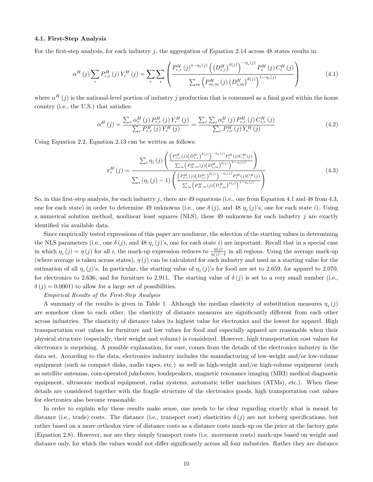#### 4.1. First-Step Analysis

For the first-step analysis, for each industry j, the aggregation of Equation 2.14 across 48 states results in:

$$
\alpha^{H}(j) \sum_{r} P_{r,r}^{H}(j) Y_{r}^{H}(j) = \sum_{r} \sum_{i} \left( \frac{P_{r,r}^{H}(j)^{1-\eta_{i}(j)} \left( \left( D_{i,r}^{H} \right)^{\delta(j)} \right)^{-\eta_{i}(j)} P_{i}^{H}(j) C_{i}^{H}(j)}{\sum_{m} \left( P_{m,m}^{H}(j) \left( D_{i,m}^{H} \right)^{\delta(j)} \right)^{1-\eta_{i}(j)}} \right)
$$
(4.1)

where  $\alpha^H(j)$  is the national-level portion of industry j production that is consumed as a final good within the home country (i.e., the U.S.) that satisfies:

$$
\alpha^{H}\left(j\right) = \frac{\sum_{r} \alpha^{H}_{r}\left(j\right) P^{H}_{r,r}\left(j\right) Y^{H}_{r}\left(j\right)}{\sum_{r} P^{H}_{r,r}\left(j\right) Y^{H}_{r}\left(j\right)} = \frac{\sum_{r} \sum_{i} \alpha^{H}_{r}\left(j\right) P^{H}_{r,r}\left(j\right) C^{H}_{i,r}\left(j\right)}{\sum_{r} P^{H}_{r,r}\left(j\right) Y^{H}_{r}\left(j\right)}\tag{4.2}
$$

Using Equation 2.2, Equation 2.13 can be written as follows:

$$
\pi_r^H(j) = \frac{\sum_i \eta_i(j) \left( \frac{\left( P_{r,r}^H(j) (D_{i,r}^H)^{\delta(j)} \right)^{-\eta_i(j)} P_i^H(j) C_i^H(j)}{\sum_m \left( P_{m,m}^H(j) (D_{i,m}^H)^{\delta(j)} \right)^{1-\eta_i(j)}} \right)}{\sum_i (\eta_i(j) - 1) \left( \frac{\left( P_{r,r}^H(j) (D_{i,r}^H)^{\delta(j)} \right)^{-\eta_i(j)} P_i^H(j) C_i^H(j)}{\sum_m \left( P_{m,m}^H(j) (D_{i,m}^H)^{\delta(j)} \right)^{1-\eta_i(j)}} \right)}
$$
(4.3)

So, in this first-step analysis, for each industry j, there are 49 equations (i.e., one from Equation 4.1 and 48 from 4.3, one for each state) in order to determine 49 unknowns (i.e., one  $\delta(j)$ , and 48  $\eta_i(j)$ 's, one for each state *i*). Using a numerical solution method, nonlinear least squares (NLS), these 49 unknowns for each industry j are exactly identified via available data.

Since empirically tested expressions of this paper are nonlinear, the selection of the starting values in determining the NLS parameters (i.e., one  $\delta(j)$ , and 48  $\eta_i(j)$ 's, one for each state i) are important. Recall that in a special case in which  $\eta_i(j) = \eta(j)$  for all i, the mark-up expression reduces to  $\frac{\eta(j)}{\eta(j)-1}$  in all regions. Using the average mark-up (where average is taken across states),  $\eta(j)$  can be calculated for each industry and used as a starting value for the estimation of all  $\eta_i(j)$ 's. In particular, the starting value of  $\eta_i(j)$ 's for food are set to 2.659, for apparel to 2.070, for electronics to 2.636, and for furniture to 2.911. The starting value of  $\delta(j)$  is set to a very small number (i.e.,  $\delta(j) = 0.0001$  to allow for a large set of possibilities.

Empirical Results of the First-Step Analysis

A summary of the results is given in Table 1. Although the median elasticity of substitution measures  $\eta_i(j)$ are somehow close to each other, the elasticity of distance measures are significantly different from each other across industries. The elasticity of distance takes its highest value for electronics and the lowest for apparel. High transportation cost values for furniture and low values for food and especially apparel are reasonable when their physical structure (especially, their weight and volume) is considered. However, high transportation cost values for electronics is surprising. A possible explanation, for sure, comes from the details of the electronics industry in the data set. According to the data, electronics industry includes the manufacturing of low-weight and/or low-volume equipment (such as compact disks, audio tapes, etc.) as well as high-weight and/or high-volume equipment (such as satellite antennas, coin-operated jukeboxes, loudspeakers, magnetic resonance imaging (MRI) medical diagnostic equipment, ultrasonic medical equipment, radar systems, automatic teller machines (ATMs), etc.). When these details are considered together with the fragile structure of the electronics goods, high transportation cost values for electronics also become reasonable.

In order to explain why these results make sense, one needs to be clear regarding exactly what is meant by distance (i.e., trade) costs. The distance (i.e., transport cost) elasticities  $\delta(j)$  are not iceberg specifications, but rather based on a more orthodox view of distance costs as a distance costs mark-up on the price at the factory gate (Equation 2.8). However, nor are they simply transport costs (i.e. movement costs) mark-ups based on weight and distance only, for which the values would not differ significantly across all four industries. Rather they are distance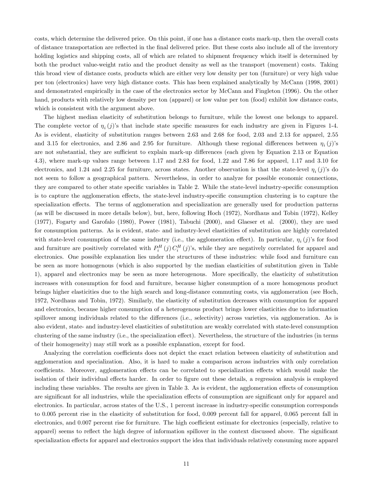costs, which determine the delivered price. On this point, if one has a distance costs mark-up, then the overall costs of distance transportation are reáected in the Önal delivered price. But these costs also include all of the inventory holding logistics and shipping costs, all of which are related to shipment frequency which itself is determined by both the product value-weight ratio and the product density as well as the transport (movement) costs. Taking this broad view of distance costs, products which are either very low density per ton (furniture) or very high value per ton (electronics) have very high distance costs. This has been explained analytically by McCann (1998, 2001) and demonstrated empirically in the case of the electronics sector by McCann and Fingleton (1996). On the other hand, products with relatively low density per ton (apparel) or low value per ton (food) exhibit low distance costs, which is consistent with the argument above.

The highest median elasticity of substitution belongs to furniture, while the lowest one belongs to apparel. The complete vector of  $\eta_i(j)$ 's that include state specific measures for each industry are given in Figures 1-4. As is evident, elasticity of substitution ranges between 2.63 and 2.68 for food, 2.03 and 2.13 for apparel, 2.55 and 3.15 for electronics, and 2.86 and 2.95 for furniture. Although these regional differences between  $\eta_i(j)$ 's are not substantial, they are sufficient to explain mark-up differences (each given by Equation 2.13 or Equation 4.3), where mark-up values range between 1.17 and 2.83 for food, 1.22 and 7.86 for apparel, 1.17 and 3.10 for electronics, and 1.24 and 2.25 for furniture, across states. Another observation is that the state-level  $\eta_i(j)$ 's do not seem to follow a geographical pattern. Nevertheless, in order to analyze for possible economic connections, they are compared to other state specific variables in Table 2. While the state-level industry-specific consumption is to capture the agglomeration effects, the state-level industry-specific consumption clustering is to capture the specialization effects. The terms of agglomeration and specialization are generally used for production patterns (as will be discussed in more details below), but, here, following Hoch (1972), Nordhaus and Tobin (1972), Kelley (1977), Fogarty and Garofalo (1980), Power (1981), Tabuchi (2000), and Glaeser et al. (2000), they are used for consumption patterns. As is evident, state- and industry-level elasticities of substitution are highly correlated with state-level consumption of the same industry (i.e., the agglomeration effect). In particular,  $\eta_i(j)$ 's for food and furniture are positively correlated with  $P_i^H(j)C_i^H(j)$ 's, while they are negatively correlated for apparel and electronics. One possible explanation lies under the structures of these industries: while food and furniture can be seen as more homogenous (which is also supported by the median elasticities of substitution given in Table 1), apparel and electronics may be seen as more heterogenous. More specifically, the elasticity of substitution increases with consumption for food and furniture, because higher consumption of a more homogenous product brings higher elasticities due to the high search and long-distance commuting costs, via agglomeration (see Hoch, 1972, Nordhaus and Tobin, 1972). Similarly, the elasticity of substitution decreases with consumption for apparel and electronics, because higher consumption of a heterogenous product brings lower elasticities due to information spillover among individuals related to the differences (i.e., selectivity) across varieties, via agglomeration. As is also evident, state- and industry-level elasticities of substitution are weakly correlated with state-level consumption clustering of the same industry (i.e., the specialization effect). Nevertheless, the structure of the industries (in terms of their homogeneity) may still work as a possible explanation, except for food.

Analyzing the correlation coefficients does not depict the exact relation between elasticity of substitution and agglomeration and specialization. Also, it is hard to make a comparison across industries with only correlation coefficients. Moreover, agglomeration effects can be correlated to specialization effects which would make the isolation of their individual effects harder. In order to figure out these details, a regression analysis is employed including these variables. The results are given in Table 3. As is evident, the agglomeration effects of consumption are significant for all industries, while the specialization effects of consumption are significant only for apparel and electronics. In particular, across states of the U.S., 1 percent increase in industry-specific consumption corresponds to 0.005 percent rise in the elasticity of substitution for food, 0.009 percent fall for apparel, 0.065 percent fall in electronics, and 0.007 percent rise for furniture. The high coefficient estimate for electronics (especially, relative to apparel) seems to reflect the high degree of information spillover in the context discussed above. The significant specialization effects for apparel and electronics support the idea that individuals relatively consuming more apparel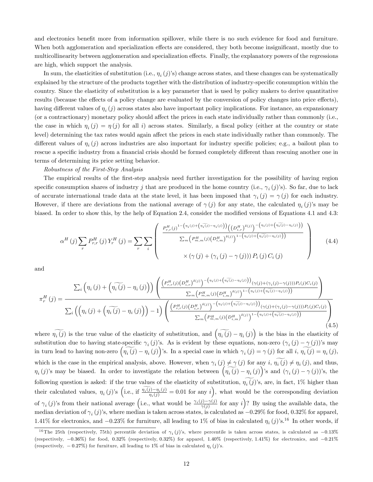and electronics benefit more from information spillover, while there is no such evidence for food and furniture. When both agglomeration and specialization effects are considered, they both become insignificant, mostly due to multicollinearity between agglomeration and specialization effects. Finally, the explanatory powers of the regressions are high, which support the analysis.

In sum, the elasticities of substitution (i.e.,  $\eta_i(j)$ 's) change across states, and these changes can be systematically explained by the structure of the products together with the distribution of industry-specific consumption within the country. Since the elasticity of substitution is a key parameter that is used by policy makers to derive quantitative results (because the effects of a policy change are evaluated by the conversion of policy changes into price effects), having different values of  $\eta_i(j)$  across states also have important policy implications. For instance, an expansionary (or a contractionary) monetary policy should affect the prices in each state individually rather than commonly (i.e., the case in which  $\eta_i(j) = \eta(j)$  for all i) across states. Similarly, a fiscal policy (either at the country or state level) determining the tax rates would again affect the prices in each state individually rather than commonly. The different values of  $\eta_i(j)$  across industries are also important for industry specific policies; e.g., a bailout plan to rescue a specific industry from a financial crisis should be formed completely different than rescuing another one in terms of determining its price setting behavior.

#### Robustness of the First-Step Analysis

The empirical results of the Örst-step analysis need further investigation for the possibility of having region specific consumption shares of industry j that are produced in the home country (i.e.,  $\gamma_i(j)$ 's). So far, due to lack of accurate international trade data at the state level, it has been imposed that  $\gamma_i(j) = \gamma(j)$  for each industry. However, if there are deviations from the national average of  $\gamma(j)$  for any state, the calculated  $\eta_i(j)$ 's may be biased. In order to show this, by the help of Equation 2.4, consider the modified versions of Equations 4.1 and 4.3:

$$
\alpha^{H}(j) \sum_{r} P_{r,r}^{H}(j) Y_{r}^{H}(j) = \sum_{r} \sum_{i} \left( \frac{P_{r,r}^{H}(j)^{1-(\eta_{i}(j)+(\eta_{i}(j)-\eta_{i}(j)))} ((D_{i,r}^{H})^{\delta(j)})^{-(\eta_{i}(j)+(\eta_{i}(j)-\eta_{i}(j)))}}{\sum_{m} (P_{m,m}^{H}(j)(D_{i,m}^{H})^{\delta(j)})^{1-(\eta_{i}(j)+(\eta_{i}(j)-\eta_{i}(j)))}}
$$

$$
\times (\gamma(j)+(\gamma_{i}(j)-\gamma(j))) P_{i}(j) C_{i}(j)
$$
\n(4.4)

and

$$
\pi_r^H(j) = \frac{\sum_i \left(\eta_i(j) + \left(\widetilde{\eta_i(j)} - \eta_i(j)\right)\right) \left(\frac{\left(P_{r,r}^H(j)\left(D_{i,r}^H\right)^{\delta(j)}\right)^{-\left(\eta_i(j) + \left(\eta_i(j) - \eta_i(j)\right)\right)}(\gamma(j) + \left(\gamma_i(j) - \gamma(j))\right)P_i(j)C_i(j)}{\sum_m \left(P_{m,m}^H(j)\left(D_{i,m}^H\right)^{\delta(j)}\right)^{-\left(\eta_i(j) + \left(\eta_i(j) - \eta_i(j)\right)\right)}\right)}\right)}{\sum_i \left(\left(\eta_i(j) + \left(\widetilde{\eta_i(j)} - \eta_i(j)\right)\right) - 1\right) \left(\frac{\left(P_{r,r}^H(j)\left(D_{i,r}^H\right)^{\delta(j)}\right)^{-\left(\eta_i(j) + \left(\eta_i(j) - \eta_i(j)\right)\right)}(\gamma(j) + \left(\gamma_i(j) - \gamma(j))\right)P_i(j)C_i(j)}{\sum_m \left(P_{m,m}^H(j)\left(D_{i,m}^H\right)^{\delta(j)}\right)^{-\left(\eta_i(j) + \left(\eta_i(j) - \eta_i(j)\right)\right)}\right)}\right)}\right)} (4.5)
$$

where  $\widetilde{\eta_i(j)}$  is the true value of the elasticity of substitution, and  $\left(\widetilde{\eta_i(j)} - \eta_i(j)\right)$  is the bias in the elasticity of substitution due to having state-specific  $\gamma_i(j)$ 's. As is evident by these equations, non-zero  $(\gamma_i(j) - \gamma(j))$ 's may in turn lead to having non-zero  $\left(\eta_i(j) - \eta_i(j)\right)$ 's. In a special case in which  $\gamma_i(j) = \gamma(j)$  for all  $i, \eta_i(j) = \eta_i(j)$ , which is the case in the empirical analysis, above. However, when  $\gamma_i(j) \neq \gamma(j)$  for any  $i, \eta_i(j) \neq \eta_i(j)$ , and thus,  $\eta_i(j)$ 's may be biased. In order to investigate the relation between  $\left(\eta_i(j) - \eta_i(j)\right)$ 's and  $(\gamma_i(j) - \gamma(j))$ 's, the following question is asked: if the true values of the elasticity of substitution,  $\eta_i(j)$ 's, are, in fact, 1% higher than their calculated values,  $\eta_i(j)$ 's (i.e., if  $\widetilde{\eta_i(j) - \eta_i(j)}$  $\frac{\tilde{j}_1 - \eta_i(j)}{\eta_i(j)} = 0.01$  for any i, what would be the corresponding deviation of  $\gamma_i(j)$ 's from their national average (i.e., what would be  $\frac{\gamma_i(j)-\gamma(j)}{\gamma(i)}$  $\left(\frac{j}{\gamma(j)}\right)^{j}$  for any i. By using the available data, the median deviation of  $\gamma_i(j)$ 's, where median is taken across states, is calculated as  $-0.29\%$  for food,  $0.32\%$  for apparel, 1.41% for electronics, and  $-0.23\%$  for furniture, all leading to 1% of bias in calculated  $\eta_i(j)$ 's.<sup>16</sup> In other words, if

<sup>&</sup>lt;sup>16</sup>The 25th (respectively, 75th) percentile deviation of  $\gamma_i(j)$ 's, where percentile is taken across states, is calculated as  $-0.13\%$ (respectively,  $-0.36\%$ ) for food,  $0.32\%$  (respectively,  $0.32\%$ ) for apparel,  $1.40\%$  (respectively,  $1.41\%$ ) for electronics, and  $-0.21\%$ (respectively,  $-0.27\%$ ) for furniture, all leading to 1% of bias in calculated  $\eta_i(j)$ 's.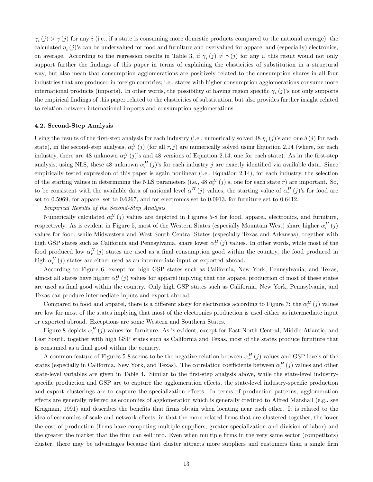$\gamma_i(j) > \gamma(j)$  for any i (i.e., if a state is consuming more domestic products compared to the national average), the calculated  $\eta_i(j)$ 's can be undervalued for food and furniture and overvalued for apparel and (especially) electronics, on average. According to the regression results in Table 3, if  $\gamma_i(j) \neq \gamma(j)$  for any i, this result would not only support further the findings of this paper in terms of explaining the elasticities of substitution in a structural way, but also mean that consumption agglomerations are positively related to the consumption shares in all four industries that are produced in foreign countries; i.e., states with higher consumption agglomerations consume more international products (imports). In other words, the possibility of having region specific  $\gamma_i(j)$ 's not only supports the empirical Öndings of this paper related to the elasticities of substitution, but also provides further insight related to relation between international imports and consumption agglomerations.

#### 4.2. Second-Step Analysis

Using the results of the first-step analysis for each industry (i.e., numerically solved 48  $\eta_i(j)$ 's and one  $\delta(j)$  for each state), in the second-step analysis,  $\alpha_r^H(j)$  (for all  $r, j$ ) are numerically solved using Equation 2.14 (where, for each industry, there are 48 unknown  $\alpha_r^H(j)$ 's and 48 versions of Equation 2.14, one for each state). As in the first-step analysis, using NLS, these 48 unknown  $\alpha_r^H(j)$ 's for each industry j are exactly identified via available data. Since empirically tested expression of this paper is again nonlinear (i.e., Equation 2.14), for each industry, the selection of the starting values in determining the NLS parameters (i.e., 48  $\alpha_r^H(j)$ 's, one for each state r) are important. So, to be consistent with the available data of national level  $\alpha^H(j)$  values, the starting value of  $\alpha_r^H(j)$ 's for food are set to 0.5969, for apparel set to 0.6267, and for electronics set to 0.0913, for furniture set to 0.6412.

Empirical Results of the Second-Step Analysis

Numerically calculated  $\alpha_r^H(j)$  values are depicted in Figures 5-8 for food, apparel, electronics, and furniture, respectively. As is evident in Figure 5, most of the Western States (especially Mountain West) share higher  $\alpha_r^H(j)$ values for food, while Midwestern and West South Central States (especially Texas and Arkansas), together with high GSP states such as California and Pennsylvania, share lower  $\alpha_r^H(j)$  values. In other words, while most of the food produced low  $\alpha_r^H(j)$  states are used as a final consumption good within the country, the food produced in high  $\alpha_r^H(j)$  states are either used as an intermediate input or exported abroad.

According to Figure 6, except for high GSP states such as California, New York, Pennsylvania, and Texas, almost all states have higher  $\alpha_r^H(j)$  values for apparel implying that the apparel production of most of these states are used as final good within the country. Only high GSP states such as California, New York, Pennsylvania, and Texas can produce intermediate inputs and export abroad.

Compared to food and apparel, there is a different story for electronics according to Figure 7: the  $\alpha_r^H(j)$  values are low for most of the states implying that most of the electronics production is used either as intermediate input or exported abroad. Exceptions are some Western and Southern States.

Figure 8 depicts  $\alpha_r^H(j)$  values for furniture. As is evident, except for East North Central, Middle Atlantic, and East South, together with high GSP states such as California and Texas, most of the states produce furniture that is consumed as a final good within the country.

A common feature of Figures 5-8 seems to be the negative relation between  $\alpha_r^H(j)$  values and GSP levels of the states (especially in California, New York, and Texas). The correlation coefficients between  $\alpha_r^H(j)$  values and other state-level variables are given in Table 4. Similar to the first-step analysis above, while the state-level industryspecific production and GSP are to capture the agglomeration effects, the state-level industry-specific production and export clusterings are to capture the specialization effects. In terms of production patterns, agglomeration effects are generally referred as economies of agglomeration which is generally credited to Alfred Marshall (e.g., see Krugman, 1991) and describes the benefits that firms obtain when locating near each other. It is related to the idea of economies of scale and network effects, in that the more related firms that are clustered together, the lower the cost of production (Örms have competing multiple suppliers, greater specialization and division of labor) and the greater the market that the Örm can sell into. Even when multiple Örms in the very same sector (competitors) cluster, there may be advantages because that cluster attracts more suppliers and customers than a single firm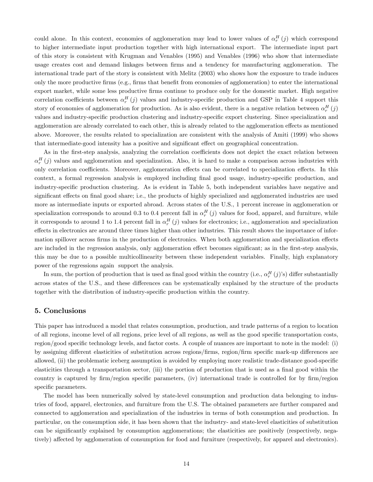could alone. In this context, economies of agglomeration may lead to lower values of  $\alpha_r^H(j)$  which correspond to higher intermediate input production together with high international export. The intermediate input part of this story is consistent with Krugman and Venables (1995) and Venables (1996) who show that intermediate usage creates cost and demand linkages between firms and a tendency for manufacturing agglomeration. The international trade part of the story is consistent with Melitz (2003) who shows how the exposure to trade induces only the more productive firms (e.g., firms that benefit from economies of agglomeration) to enter the international export market, while some less productive firms continue to produce only for the domestic market. High negative correlation coefficients between  $\alpha_r^H(j)$  values and industry-specific production and GSP in Table 4 support this story of economies of agglomeration for production. As is also evident, there is a negative relation between  $\alpha_r^H(j)$ values and industry-specific production clustering and industry-specific export clustering. Since specialization and agglomeration are already correlated to each other, this is already related to the agglomeration effects as mentioned above. Moreover, the results related to specialization are consistent with the analysis of Amiti (1999) who shows that intermediate-good intensity has a positive and significant effect on geographical concentration.

As in the first-step analysis, analyzing the correlation coefficients does not depict the exact relation between  $\alpha_r^H(j)$  values and agglomeration and specialization. Also, it is hard to make a comparison across industries with only correlation coefficients. Moreover, agglomeration effects can be correlated to specialization effects. In this context, a formal regression analysis is employed including final good usage, industry-specific production, and industry-specific production clustering. As is evident in Table 5, both independent variables have negative and significant effects on final good share; i.e., the products of highly specialized and agglomerated industries are used more as intermediate inputs or exported abroad. Across states of the U.S., 1 percent increase in agglomeration or specialization corresponds to around 0.3 to 0.4 percent fall in  $\alpha_r^H(j)$  values for food, apparel, and furniture, while it corresponds to around 1 to 1.4 percent fall in  $\alpha_r^H(j)$  values for electronics; i.e., agglomeration and specialization effects in electronics are around three times higher than other industries. This result shows the importance of information spillover across firms in the production of electronics. When both agglomeration and specialization effects are included in the regression analysis, only agglomeration effect becomes significant; as in the first-step analysis, this may be due to a possible multicollinearity between these independent variables. Finally, high explanatory power of the regressions again support the analysis.

In sum, the portion of production that is used as final good within the country (i.e.,  $\alpha_r^H(j)$ 's) differ substantially across states of the U.S., and these differences can be systematically explained by the structure of the products together with the distribution of industry-specific production within the country.

# 5. Conclusions

This paper has introduced a model that relates consumption, production, and trade patterns of a region to location of all regions, income level of all regions, price level of all regions, as well as the good specific transportation costs, region/good specific technology levels, and factor costs. A couple of nuances are important to note in the model: (i) by assigning different elasticities of substitution across regions/firms, region/firm specific mark-up differences are allowed, (ii) the problematic iceberg assumption is avoided by employing more realistic trade-distance good-specific elasticities through a transportation sector, (iii) the portion of production that is used as a final good within the country is captured by firm/region specific parameters, (iv) international trade is controlled for by firm/region specific parameters.

The model has been numerically solved by state-level consumption and production data belonging to industries of food, apparel, electronics, and furniture from the U.S. The obtained parameters are further compared and connected to agglomeration and specialization of the industries in terms of both consumption and production. In particular, on the consumption side, it has been shown that the industry- and state-level elasticities of substitution can be significantly explained by consumption agglomerations; the elasticities are positively (respectively, negatively) affected by agglomeration of consumption for food and furniture (respectively, for apparel and electronics).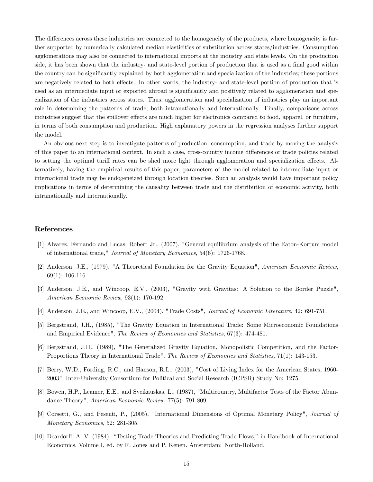The differences across these industries are connected to the homogeneity of the products, where homogeneity is further supported by numerically calculated median elasticities of substitution across states/industries. Consumption agglomerations may also be connected to international imports at the industry and state levels. On the production side, it has been shown that the industry- and state-level portion of production that is used as a final good within the country can be significantly explained by both agglomeration and specialization of the industries; these portions are negatively related to both effects. In other words, the industry- and state-level portion of production that is used as an intermediate input or exported abroad is significantly and positively related to agglomeration and specialization of the industries across states. Thus, agglomeration and specialization of industries play an important role in determining the patterns of trade, both intranationally and internationally. Finally, comparisons across industries suggest that the spillover effects are much higher for electronics compared to food, apparel, or furniture, in terms of both consumption and production. High explanatory powers in the regression analyses further support the model.

An obvious next step is to investigate patterns of production, consumption, and trade by moving the analysis of this paper to an international context. In such a case, cross-country income differences or trade policies related to setting the optimal tariff rates can be shed more light through agglomeration and specialization effects. Alternatively, having the empirical results of this paper, parameters of the model related to intermediate input or international trade may be endogeneized through location theories. Such an analysis would have important policy implications in terms of determining the causality between trade and the distribution of economic activity, both intranationally and internationally.

# References

- [1] Alvarez, Fernando and Lucas, Robert Jr., (2007), "General equilibrium analysis of the Eaton-Kortum model of international trade," Journal of Monetary Economics, 54(6): 1726-1768.
- [2] Anderson, J.E., (1979), "A Theoretical Foundation for the Gravity Equation", American Economic Review, 69(1): 106-116.
- [3] Anderson, J.E., and Wincoop, E.V., (2003), "Gravity with Gravitas: A Solution to the Border Puzzle", American Economic Review, 93(1): 170-192.
- [4] Anderson, J.E., and Wincoop, E.V., (2004), "Trade Costs", Journal of Economic Literature, 42: 691-751.
- [5] Bergstrand, J.H., (1985), "The Gravity Equation in International Trade: Some Microeconomic Foundations and Empirical Evidence", The Review of Economics and Statistics, 67(3): 474-481.
- [6] Bergstrand, J.H., (1989), "The Generalized Gravity Equation, Monopolistic Competition, and the Factor-Proportions Theory in International Trade", The Review of Economics and Statistics, 71(1): 143-153.
- [7] Berry, W.D., Fording, R.C., and Hanson, R.L., (2003), "Cost of Living Index for the American States, 1960- 2003", Inter-University Consortium for Political and Social Research (ICPSR) Study No: 1275.
- [8] Bowen, H.P., Leamer, E.E., and Sveikauskas, L., (1987), "Multicountry, Multifactor Tests of the Factor Abundance Theory", American Economic Review, 77(5): 791-809.
- [9] Corsetti, G., and Pesenti, P., (2005), "International Dimensions of Optimal Monetary Policy", Journal of Monetary Economics, 52: 281-305.
- [10] Deardorff, A. V. (1984): "Testing Trade Theories and Predicting Trade Flows," in Handbook of International Economics, Volume I, ed. by R. Jones and P. Kenen. Amsterdam: North-Holland.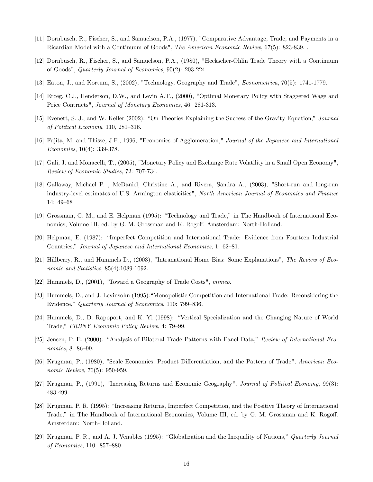- [11] Dornbusch, R., Fischer, S., and Samuelson, P.A., (1977), "Comparative Advantage, Trade, and Payments in a Ricardian Model with a Continuum of Goods", The American Economic Review, 67(5): 823-839. .
- [12] Dornbusch, R., Fischer, S., and Samuelson, P.A., (1980), "Heckscher-Ohlin Trade Theory with a Continuum of Goods", Quarterly Journal of Economics, 95(2): 203-224.
- [13] Eaton, J., and Kortum, S., (2002), "Technology, Geography and Trade", Econometrica, 70(5): 1741-1779.
- [14] Erceg, C.J., Henderson, D.W., and Levin A.T., (2000), "Optimal Monetary Policy with Staggered Wage and Price Contracts", Journal of Monetary Economics, 46: 281-313.
- [15] Evenett, S. J., and W. Keller (2002): "On Theories Explaining the Success of the Gravity Equation," Journal of Political Economy,  $110$ ,  $281-316$ .
- [16] Fujita, M. and Thisse, J.F., 1996, "Economics of Agglomeration," Journal of the Japanese and International Economies, 10(4): 339-378.
- [17] Gali, J. and Monacelli, T., (2005), "Monetary Policy and Exchange Rate Volatility in a Small Open Economy", Review of Economic Studies, 72: 707-734.
- [18] Gallaway, Michael P. , McDaniel, Christine A., and Rivera, Sandra A., (2003), "Short-run and long-run industry-level estimates of U.S. Armington elasticities", North American Journal of Economics and Finance 14: 49-68
- [19] Grossman, G. M., and E. Helpman (1995): "Technology and Trade," in The Handbook of International Economics, Volume III, ed. by G. M. Grossman and K. Rogoff. Amsterdam: North-Holland.
- [20] Helpman, E. (1987): "Imperfect Competition and International Trade: Evidence from Fourteen Industrial Countries," Journal of Japanese and International Economics, 1: 62–81.
- [21] Hillberry, R., and Hummels D., (2003), "Intranational Home Bias: Some Explanations", The Review of Economic and Statistics, 85(4):1089-1092.
- [22] Hummels, D., (2001), "Toward a Geography of Trade Costs", mimeo.
- [23] Hummels, D., and J. Levinsohn (1995): "Monopolistic Competition and International Trade: Reconsidering the Evidence," Quarterly Journal of Economics, 110: 799–836.
- [24] Hummels, D., D. Rapoport, and K. Yi (1998): "Vertical Specialization and the Changing Nature of World Trade," FRBNY Economic Policy Review, 4: 79–99.
- [25] Jensen, P. E. (2000): "Analysis of Bilateral Trade Patterns with Panel Data," Review of International Economics, 8: 86-99.
- [26] Krugman, P., (1980), "Scale Economies, Product Differentiation, and the Pattern of Trade", American Economic Review, 70(5): 950-959.
- [27] Krugman, P., (1991), "Increasing Returns and Economic Geography", Journal of Political Economy, 99(3): 483-499.
- [28] Krugman, P. R. (1995): "Increasing Returns, Imperfect Competition, and the Positive Theory of International Trade," in The Handbook of International Economics, Volume III, ed. by G. M. Grossman and K. Rogoff. Amsterdam: North-Holland.
- [29] Krugman, P. R., and A. J. Venables (1995): "Globalization and the Inequality of Nations," Quarterly Journal of Economics, 110: 857-880.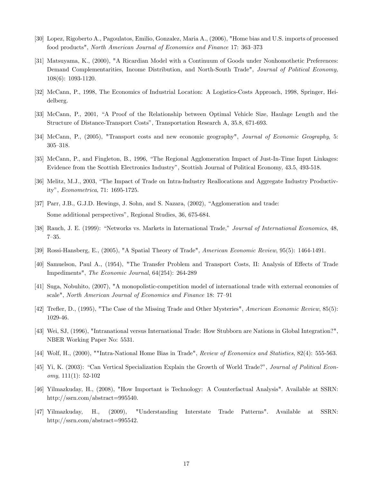- [30] Lopez, Rigoberto A., Pagoulatos, Emilio, Gonzalez, Maria A., (2006), "Home bias and U.S. imports of processed food products", North American Journal of Economics and Finance 17: 363-373
- [31] Matsuyama, K., (2000), "A Ricardian Model with a Continuum of Goods under Nonhomothetic Preferences: Demand Complementarities, Income Distribution, and North-South Trade", Journal of Political Economy, 108(6): 1093-1120.
- [32] McCann, P., 1998, The Economics of Industrial Location: A Logistics-Costs Approach, 1998, Springer, Heidelberg.
- [33] McCann, P., 2001, "A Proof of the Relationship between Optimal Vehicle Size, Haulage Length and the Structure of Distance-Transport Costsî, Transportation Research A, 35.8, 671-693.
- [34] McCann, P., (2005), "Transport costs and new economic geography", Journal of Economic Geography, 5: 305-318.
- [35] McCann, P., and Fingleton, B., 1996, "The Regional Agglomeration Impact of Just-In-Time Input Linkages: Evidence from the Scottish Electronics Industryî, Scottish Journal of Political Economy, 43.5, 493-518.
- [36] Melitz, M.J., 2003, "The Impact of Trade on Intra-Industry Reallocations and Aggregate Industry Productivity", *Econometrica*, 71: 1695-1725.
- [37] Parr, J.B., G.J.D. Hewings, J. Sohn, and S. Nazara, (2002), "Agglomeration and trade: Some additional perspectives", Regional Studies, 36, 675-684.
- [38] Rauch, J. E. (1999): "Networks vs. Markets in International Trade," Journal of International Economics, 48,  $7 - 35.$
- [39] Rossi-Hansberg, E., (2005), "A Spatial Theory of Trade", American Economic Review, 95(5): 1464-1491.
- [40] Samuelson, Paul A., (1954), "The Transfer Problem and Transport Costs, II: Analysis of Effects of Trade Impediments", The Economic Journal, 64(254): 264-289
- [41] Suga, Nobuhito, (2007), "A monopolistic-competition model of international trade with external economies of scale", North American Journal of Economics and Finance 18: 77-91
- [42] Trefler, D., (1995), "The Case of the Missing Trade and Other Mysteries", American Economic Review, 85(5): 1029-46.
- [43] Wei, SJ, (1996), "Intranational versus International Trade: How Stubborn are Nations in Global Integration?", NBER Working Paper No: 5531.
- [44] Wolf, H., (2000), ""Intra-National Home Bias in Trade", Review of Economics and Statistics, 82(4): 555-563.
- [45] Yi, K. (2003): "Can Vertical Specialization Explain the Growth of World Trade?", Journal of Political Economy, 111(1): 52-102
- [46] Yilmazkuday, H., (2008), "How Important is Technology: A Counterfactual Analysis". Available at SSRN: http://ssrn.com/abstract=995540.
- [47] Yilmazkuday, H., (2009), "Understanding Interstate Trade Patterns". Available at SSRN: http://ssrn.com/abstract=995542.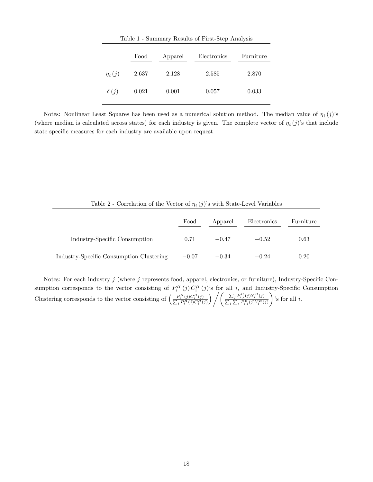| Table 1 - Summary Results of First-Step Analysis |       |         |             |           |
|--------------------------------------------------|-------|---------|-------------|-----------|
|                                                  | Food  | Apparel | Electronics | Furniture |
| $\eta_i(j)$                                      | 2.637 | 2.128   | 2.585       | 2.870     |
| $\delta(j)$                                      | 0.021 | 0.001   | 0.057       | 0.033     |

Notes: Nonlinear Least Squares has been used as a numerical solution method. The median value of  $\eta_i(j)$ 's (where median is calculated across states) for each industry is given. The complete vector of  $\eta_i(j)$ 's that include state specific measures for each industry are available upon request.

|                                          | Food    | Apparel | Electronics | Furniture |
|------------------------------------------|---------|---------|-------------|-----------|
| Industry-Specific Consumption            | 0.71    | $-0.47$ | $-0.52$     | 0.63      |
| Industry-Specific Consumption Clustering | $-0.07$ | $-0.34$ | $-0.24$     | 0.20      |

Table 2 - Correlation of the Vector of  $\eta_i(j)$ 's with State-Level Variables

Notes: For each industry  $j$  (where  $j$  represents food, apparel, electronics, or furniture), Industry-Specific Consumption corresponds to the vector consisting of  $P_i^H(j)C_i^H(j)$ 's for all i, and Industry-Specific Consumption Clustering corresponds to the vector consisting of  $\left(\frac{P_i^H(j)C_i^H(j)}{\sum_{i}P_i^H(j)C_i^H(j)}\right)$  $_i P_i^H(j) C_i^H(j)$  $\bigwedge / \bigg( \sum_j P_{i,i}^H(j) Y_i^H(j)$  $\sum_i \sum_j P_{i,i}^H(j) Y_i^H(j)$  $\setminus$ 's for all  $i$ .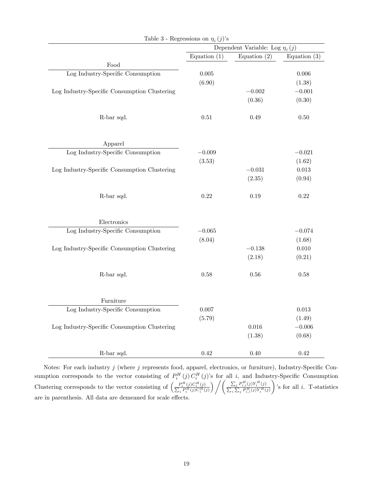|                                              | Dependent Variable: Log $\eta_i(j)$ |                |                |
|----------------------------------------------|-------------------------------------|----------------|----------------|
|                                              | Equation $(1)$                      | Equation $(2)$ | Equation $(3)$ |
| Food                                         |                                     |                |                |
| Log Industry-Specific Consumption            | $0.005\,$                           |                | $0.006\,$      |
|                                              | (6.90)                              |                | (1.38)         |
| Log Industry-Specific Consumption Clustering |                                     | $-0.002$       | $-0.001$       |
|                                              |                                     | (0.36)         | (0.30)         |
| R-bar sqd.                                   | $0.51\,$                            | 0.49           | 0.50           |
| Apparel                                      |                                     |                |                |
| Log Industry-Specific Consumption            | $-0.009$                            |                | $-0.021$       |
|                                              | (3.53)                              |                | (1.62)         |
| Log Industry-Specific Consumption Clustering |                                     | $-0.031$       | $\,0.013\,$    |
|                                              |                                     | (2.35)         | (0.94)         |
| R-bar sqd.                                   | $0.22\,$                            | 0.19           | 0.22           |
| Electronics                                  |                                     |                |                |
| Log Industry-Specific Consumption            | $-0.065$                            |                | $-0.074$       |
|                                              | (8.04)                              |                | (1.68)         |
| Log Industry-Specific Consumption Clustering |                                     | $-0.138$       | 0.010          |
|                                              |                                     | (2.18)         | (0.21)         |
| R-bar sqd.                                   | 0.58                                | 0.56           | 0.58           |
| Furniture                                    |                                     |                |                |
| Log Industry-Specific Consumption            | 0.007                               |                | $\,0.013\,$    |
|                                              | (5.79)                              |                | (1.49)         |
| Log Industry-Specific Consumption Clustering |                                     | $0.016\,$      | $-0.006$       |
|                                              |                                     | (1.38)         | (0.68)         |
| R-bar sqd.                                   | 0.42                                | 0.40           | 0.42           |

Table 3 - Regressions on  $\eta_i(j)$ 's

Notes: For each industry  $j$  (where  $j$  represents food, apparel, electronics, or furniture), Industry-Specific Consumption corresponds to the vector consisting of  $P_i^H(j)C_i^H(j)$ 's for all i, and Industry-Specific Consumption Clustering corresponds to the vector consisting of  $\left(\frac{P_i^H(j)C_i^H(j)}{\sum_{i}P_i^H(j)C_i^H(j)}\right)$  ${}_{i}P_{i}^{H}(j)C_{i}^{H}(j)$  $\bigwedge / \bigg( \sum_j P_{i,i}^H(j) Y_i^H(j)$  $\sum_i \sum_j P_{i,i}^H(j) Y_i^H(j)$  $\setminus$ 's for all  $i$ . T-statistics are in parenthesis. All data are demeaned for scale effects.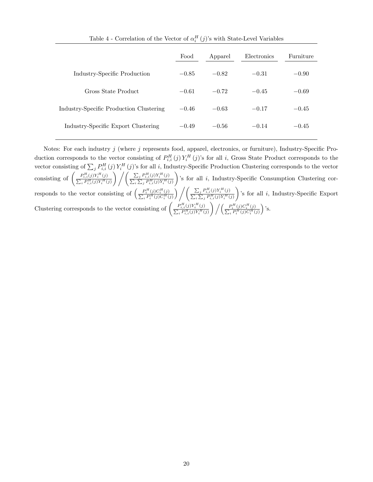|                                         | Food    | Apparel | Electronics | Furniture |
|-----------------------------------------|---------|---------|-------------|-----------|
| Industry-Specific Production            | $-0.85$ | $-0.82$ | $-0.31$     | $-0.90$   |
| Gross State Product                     | $-0.61$ | $-0.72$ | $-0.45$     | $-0.69$   |
| Industry-Specific Production Clustering | $-0.46$ | $-0.63$ | $-0.17$     | $-0.45$   |
| Industry-Specific Export Clustering     | $-0.49$ | $-0.56$ | $-0.14$     | $-0.45$   |

Table 4 - Correlation of the Vector of  $\alpha_i^H(j)$ 's with State-Level Variables

Notes: For each industry  $j$  (where  $j$  represents food, apparel, electronics, or furniture), Industry-Specific Production corresponds to the vector consisting of  $P_{i,i}^H(j)Y_i^H(j)$ 's for all i, Gross State Product corresponds to the vector consisting of  $\sum_j P_{i,i}^H(j) Y_i^H(j)$ 's for all i, Industry-Specific Production Clustering corresponds to the vector consisting of  $\left(\frac{P_{i,i}^H(j)Y_i^H(j)}{\sum_i P_{i,i}^H(j)Y_i^H(j)}\right)$  $\bigwedge / \bigg( \sum_j P_{i,i}^H(j) Y_i^H(j)$  $\sum_i \sum_j P_{i,i}^H(j) Y_i^H(j)$  $\overline{\phantom{0}}$ 's for all  $i$ , Industry-Specific Consumption Clustering corresponds to the vector consisting of  $\left(\frac{P_i^H(j)C_i^H(j)}{\sum_{i}P_i^H(i)C_i^H(j)}\right)$  $_{i}P_{i}^{H}(j)C_{i}^{H}(j)$  $\bigwedge \quad \bigg/ \bigg/ \quad \sum_j P_{i,i}^H(j) Y_i^H(j)$  $\sum_i \sum_j P_{i,i}^H(j) Y_i^H(j)$  $\setminus$ 's for all  $i$ , Industry-Specific Export Clustering corresponds to the vector consisting of  $\left(\frac{P_{i,i}^H(j)Y_i^H(j)}{\sum_i P_{i,i}^H(j)Y_i^H(j)}\right)$  $\left( \frac{P_i^H(j)C_i^H(j)}{\sum_{i} P_i^H(j)C_i^H(j)} \right)$  $_i P_i^H(j) C_i^H(j)$  $\big)$ 's.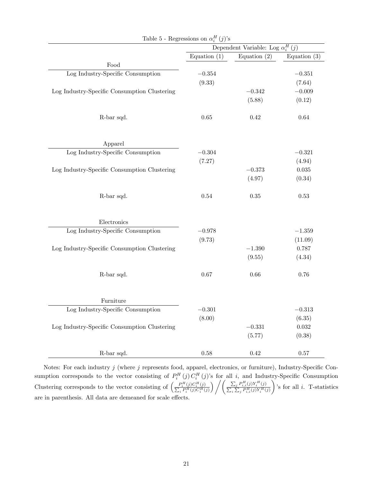|                                              | Dependent Variable: Log $\alpha_i^H(j)$ |                |                |
|----------------------------------------------|-----------------------------------------|----------------|----------------|
|                                              | Equation $(1)$                          | Equation $(2)$ | Equation $(3)$ |
| $\operatorname*{Food}$                       |                                         |                |                |
| Log Industry-Specific Consumption            | $-0.354$                                |                | $-0.351$       |
|                                              | (9.33)                                  |                | (7.64)         |
| Log Industry-Specific Consumption Clustering |                                         | $-0.342$       | $-0.009$       |
|                                              |                                         | (5.88)         | (0.12)         |
| R-bar sqd.                                   | 0.65                                    | 0.42           | 0.64           |
| Apparel                                      |                                         |                |                |
| Log Industry-Specific Consumption            | $-0.304$                                |                | $-0.321$       |
|                                              | (7.27)                                  |                | (4.94)         |
| Log Industry-Specific Consumption Clustering |                                         | $-0.373$       | $\,0.035\,$    |
|                                              |                                         | (4.97)         | (0.34)         |
| R-bar sqd.                                   | 0.54                                    | 0.35           | 0.53           |
| Electronics                                  |                                         |                |                |
| Log Industry-Specific Consumption            | $-0.978$                                |                | $-1.359$       |
|                                              | (9.73)                                  |                | (11.09)        |
| Log Industry-Specific Consumption Clustering |                                         | $-1.390$       | 0.787          |
|                                              |                                         | (9.55)         | (4.34)         |
| R-bar sqd.                                   | 0.67                                    | 0.66           | 0.76           |
| Furniture                                    |                                         |                |                |
| Log Industry-Specific Consumption            | $-0.301$                                |                | $-0.313$       |
|                                              | (8.00)                                  |                | (6.35)         |
| Log Industry-Specific Consumption Clustering |                                         | $-0.331$       | 0.032          |
|                                              |                                         | (5.77)         | (0.38)         |
| R-bar sqd.                                   | 0.58                                    | 0.42           | 0.57           |

Table 5 - Regressions on  $\alpha_i^H(j)$ 's

Notes: For each industry  $j$  (where  $j$  represents food, apparel, electronics, or furniture), Industry-Specific Consumption corresponds to the vector consisting of  $P_i^H(j)C_i^H(j)$ 's for all i, and Industry-Specific Consumption Clustering corresponds to the vector consisting of  $\left(\frac{P_i^H(j)C_i^H(j)}{\sum_{i}P_i^H(j)C_i^H(j)}\right)$  ${}_{i}P_{i}^{H}(j)C_{i}^{H}(j)$  $\bigwedge / \bigg( \sum_j P_{i,i}^H(j) Y_i^H(j)$  $\sum_i \sum_j P_{i,i}^H(j) Y_i^H(j)$  $\setminus$ 's for all  $i$ . T-statistics are in parenthesis. All data are demeaned for scale effects.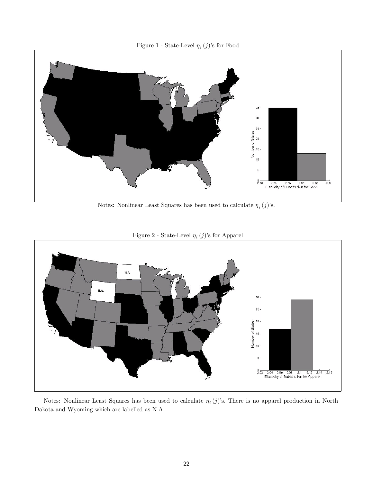



Notes: Nonlinear Least Squares has been used to calculate  $\eta_i(j)$ 's.



Figure 2 - State-Level  $\eta_i(j)$ 's for Apparel

Notes: Nonlinear Least Squares has been used to calculate  $\eta_i(j)$ 's. There is no apparel production in North Dakota and Wyoming which are labelled as N.A..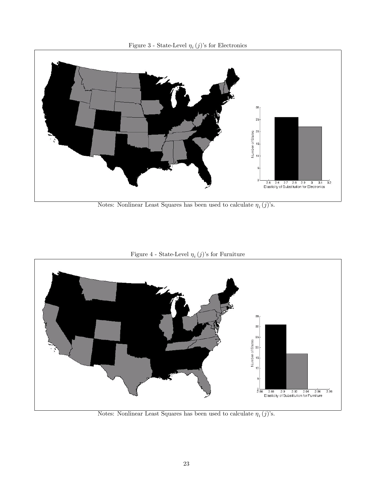

Figure 4 - State-Level  $\eta_i(j)$ 's for Furniture



Notes: Nonlinear Least Squares has been used to calculate  $\eta_i(j)$ 's.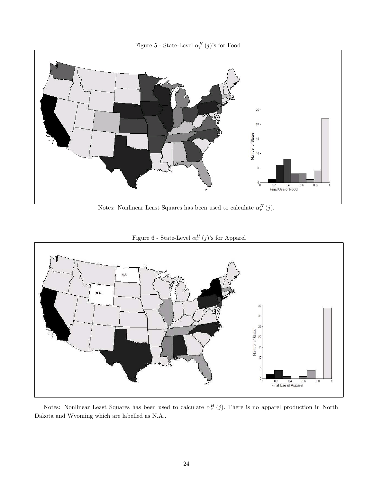

Notes: Nonlinear Least Squares has been used to calculate  $\alpha_r^H(j)$ .



Figure 6 - State-Level  $\alpha_r^H(j)$ 's for Apparel

Notes: Nonlinear Least Squares has been used to calculate  $\alpha_r^H(j)$ . There is no apparel production in North Dakota and Wyoming which are labelled as N.A..